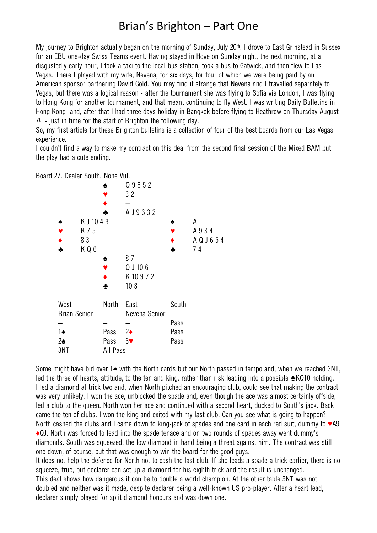## Brian's Brighton – Part One

My journey to Brighton actually began on the morning of Sunday, July 20th. I drove to East Grinstead in Sussex for an EBU one-day Swiss Teams event. Having stayed in Hove on Sunday night, the next morning, at a disgustedly early hour, I took a taxi to the local bus station, took a bus to Gatwick, and then flew to Las Vegas. There I played with my wife, Nevena, for six days, for four of which we were being paid by an American sponsor partnering David Gold. You may find it strange that Nevena and I travelled separately to Vegas, but there was a logical reason - after the tournament she was flying to Sofia via London, I was flying to Hong Kong for another tournament, and that meant continuing to fly West. I was writing Daily Bulletins in Hong Kong and, after that I had three days holiday in Bangkok before flying to Heathrow on Thursday August 7 th - just in time for the start of Brighton the following day.

So, my first article for these Brighton bulletins is a collection of four of the best boards from our Las Vegas experience.

I couldn't find a way to make my contract on this deal from the second final session of the Mixed BAM but the play had a cute ending.

Board 27. Dealer South. None Vul.



Some might have bid over 1 $\triangle$  with the North cards but our North passed in tempo and, when we reached 3NT, led the three of hearts, attitude, to the ten and king, rather than risk leading into a possible ♣KQ10 holding. I led a diamond at trick two and, when North pitched an encouraging club, could see that making the contract was very unlikely. I won the ace, unblocked the spade and, even though the ace was almost certainly offside, led a club to the queen. North won her ace and continued with a second heart, ducked to South's jack. Back came the ten of clubs. I won the king and exited with my last club. Can you see what is going to happen? North cashed the clubs and I came down to king-jack of spades and one card in each red suit, dummy to ♥A9 ♦QJ. North was forced to lead into the spade tenace and on two rounds of spades away went dummy's diamonds. South was squeezed, the low diamond in hand being a threat against him. The contract was still one down, of course, but that was enough to win the board for the good guys.

It does not help the defence for North not to cash the last club. If she leads a spade a trick earlier, there is no squeeze, true, but declarer can set up a diamond for his eighth trick and the result is unchanged. This deal shows how dangerous it can be to double a world champion. At the other table 3NT was not doubled and neither was it made, despite declarer being a well-known US pro-player. After a heart lead, declarer simply played for split diamond honours and was down one.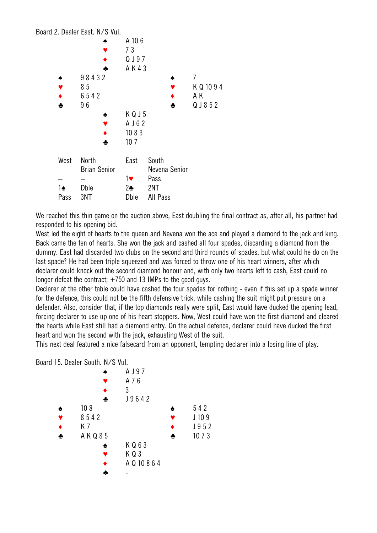|      | Board 2. Dealer East. N/S Vul. |                 |               |   |            |
|------|--------------------------------|-----------------|---------------|---|------------|
|      | ♠                              | A 106           |               |   |            |
|      |                                | 73              |               |   |            |
|      |                                | QJ97            |               |   |            |
|      | ♣                              | AK43            |               |   |            |
| ٠    | 98432                          |                 |               | ٠ | 7          |
|      | 85                             |                 |               |   | K Q 10 9 4 |
|      | 6542                           |                 |               |   | ΑK         |
| ÷    | 96                             |                 |               | ÷ | QJ852      |
|      | ♠                              | KQJ5            |               |   |            |
|      |                                | A J 6 2         |               |   |            |
|      |                                | 1083            |               |   |            |
|      | ♣                              | 107             |               |   |            |
|      |                                |                 |               |   |            |
| West | North                          | East            | South         |   |            |
|      | <b>Brian Senior</b>            |                 | Nevena Senior |   |            |
|      |                                |                 |               |   |            |
|      |                                | $1$ v $\bullet$ | Pass          |   |            |
| 1♠   | Dble                           | $2\clubsuit$    | 2NT           |   |            |
| Pass | 3NT                            | Dble            | All Pass      |   |            |

We reached this thin game on the auction above, East doubling the final contract as, after all, his partner had responded to his opening bid.

West led the eight of hearts to the queen and Nevena won the ace and played a diamond to the jack and king. Back came the ten of hearts. She won the jack and cashed all four spades, discarding a diamond from the dummy. East had discarded two clubs on the second and third rounds of spades, but what could he do on the last spade? He had been triple squeezed and was forced to throw one of his heart winners, after which declarer could knock out the second diamond honour and, with only two hearts left to cash, East could no longer defeat the contract; +750 and 13 IMPs to the good guys.

Declarer at the other table could have cashed the four spades for nothing - even if this set up a spade winner for the defence, this could not be the fifth defensive trick, while cashing the suit might put pressure on a defender. Also, consider that, if the top diamonds really were split, East would have ducked the opening lead, forcing declarer to use up one of his heart stoppers. Now, West could have won the first diamond and cleared the hearts while East still had a diamond entry. On the actual defence, declarer could have ducked the first heart and won the second with the jack, exhausting West of the suit.

This next deal featured a nice falsecard from an opponent, tempting declarer into a losing line of play.

Board 15. Dealer South. N/S Vul.

|                 | A J 9 7      |      |
|-----------------|--------------|------|
|                 | A 7 6        |      |
|                 | 3            |      |
|                 | J9642        |      |
| 10 <sub>8</sub> |              | 542  |
| 8542            |              | J109 |
| K 7             |              | J952 |
| A K Q 8 5       |              | 1073 |
|                 | KQ63         |      |
|                 | KQ3          |      |
|                 | A Q 10 8 6 4 |      |
|                 |              |      |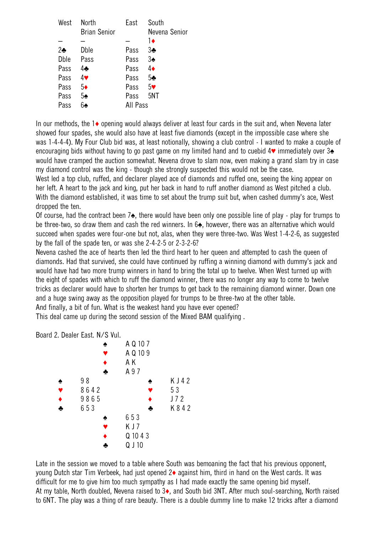| West       | North<br><b>Brian Senior</b> | East     | South<br>Nevena Senior |
|------------|------------------------------|----------|------------------------|
|            |                              |          | 1∔                     |
| $2\bullet$ | Dble                         | Pass     | 3♣                     |
| Dble       | Pass                         | Pass     | $3\spadesuit$          |
| Pass       | 44                           | Pass     | 4♦                     |
| Pass       | 4♥                           | Pass     | 5 <sub>2</sub>         |
| Pass       | $5\bullet$                   | Pass     | 5 <sub>•</sub>         |
| Pass       | 5♠                           | Pass     | 5NT                    |
| Расс       |                              | All Pass |                        |
|            |                              |          |                        |

In our methods, the 1♦ opening would always deliver at least four cards in the suit and, when Nevena later showed four spades, she would also have at least five diamonds (except in the impossible case where she was 1-4-4-4). My Four Club bid was, at least notionally, showing a club control - I wanted to make a couple of encouraging bids without having to go past game on my limited hand and to cuebid 4♥ immediately over 3♠ would have cramped the auction somewhat. Nevena drove to slam now, even making a grand slam try in case my diamond control was the king - though she strongly suspected this would not be the case. West led a top club, ruffed, and declarer played ace of diamonds and ruffed one, seeing the king appear on her left. A heart to the jack and king, put her back in hand to ruff another diamond as West pitched a club. With the diamond established, it was time to set about the trump suit but, when cashed dummy's ace, West dropped the ten.

Of course, had the contract been 7♠, there would have been only one possible line of play - play for trumps to be three-two, so draw them and cash the red winners. In 6 $\triangle$ , however, there was an alternative which would succeed when spades were four-one but not, alas, when they were three-two. Was West 1-4-2-6, as suggested by the fall of the spade ten, or was she 2-4-2-5 or 2-3-2-6?

Nevena cashed the ace of hearts then led the third heart to her queen and attempted to cash the queen of diamonds. Had that survived, she could have continued by ruffing a winning diamond with dummy's jack and would have had two more trump winners in hand to bring the total up to twelve. When West turned up with the eight of spades with which to ruff the diamond winner, there was no longer any way to come to twelve tricks as declarer would have to shorten her trumps to get back to the remaining diamond winner. Down one and a huge swing away as the opposition played for trumps to be three-two at the other table. And finally, a bit of fun. What is the weakest hand you have ever opened?

This deal came up during the second session of the Mixed BAM qualifying .

Board 2. Dealer East. N/S Vul.



Late in the session we moved to a table where South was bemoaning the fact that his previous opponent, young Dutch star Tim Verbeek, had just opened 2♦ against him, third in hand on the West cards. It was difficult for me to give him too much sympathy as I had made exactly the same opening bid myself. At my table, North doubled, Nevena raised to 3♦, and South bid 3NT. After much soul-searching, North raised to 6NT. The play was a thing of rare beauty. There is a double dummy line to make 12 tricks after a diamond